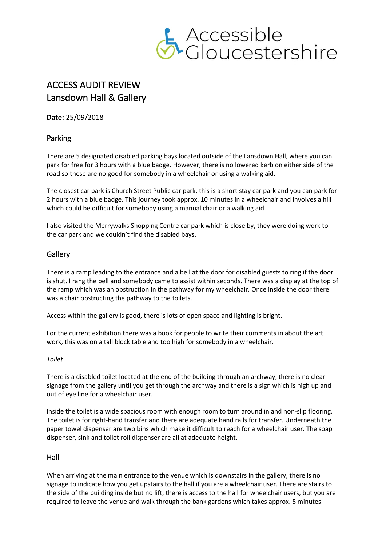

# ACCESS AUDIT REVIEW Lansdown Hall & Gallery

**Date:** 25/09/2018

## Parking

There are 5 designated disabled parking bays located outside of the Lansdown Hall, where you can park for free for 3 hours with a blue badge. However, there is no lowered kerb on either side of the road so these are no good for somebody in a wheelchair or using a walking aid.

The closest car park is Church Street Public car park, this is a short stay car park and you can park for 2 hours with a blue badge. This journey took approx. 10 minutes in a wheelchair and involves a hill which could be difficult for somebody using a manual chair or a walking aid.

I also visited the Merrywalks Shopping Centre car park which is close by, they were doing work to the car park and we couldn't find the disabled bays.

## **Gallery**

There is a ramp leading to the entrance and a bell at the door for disabled guests to ring if the door is shut. I rang the bell and somebody came to assist within seconds. There was a display at the top of the ramp which was an obstruction in the pathway for my wheelchair. Once inside the door there was a chair obstructing the pathway to the toilets.

Access within the gallery is good, there is lots of open space and lighting is bright.

For the current exhibition there was a book for people to write their comments in about the art work, this was on a tall block table and too high for somebody in a wheelchair.

### *Toilet*

There is a disabled toilet located at the end of the building through an archway, there is no clear signage from the gallery until you get through the archway and there is a sign which is high up and out of eye line for a wheelchair user.

Inside the toilet is a wide spacious room with enough room to turn around in and non‐slip flooring. The toilet is for right-hand transfer and there are adequate hand rails for transfer. Underneath the paper towel dispenser are two bins which make it difficult to reach for a wheelchair user. The soap dispenser, sink and toilet roll dispenser are all at adequate height.

### Hall

When arriving at the main entrance to the venue which is downstairs in the gallery, there is no signage to indicate how you get upstairs to the hall if you are a wheelchair user. There are stairs to the side of the building inside but no lift, there is access to the hall for wheelchair users, but you are required to leave the venue and walk through the bank gardens which takes approx. 5 minutes.